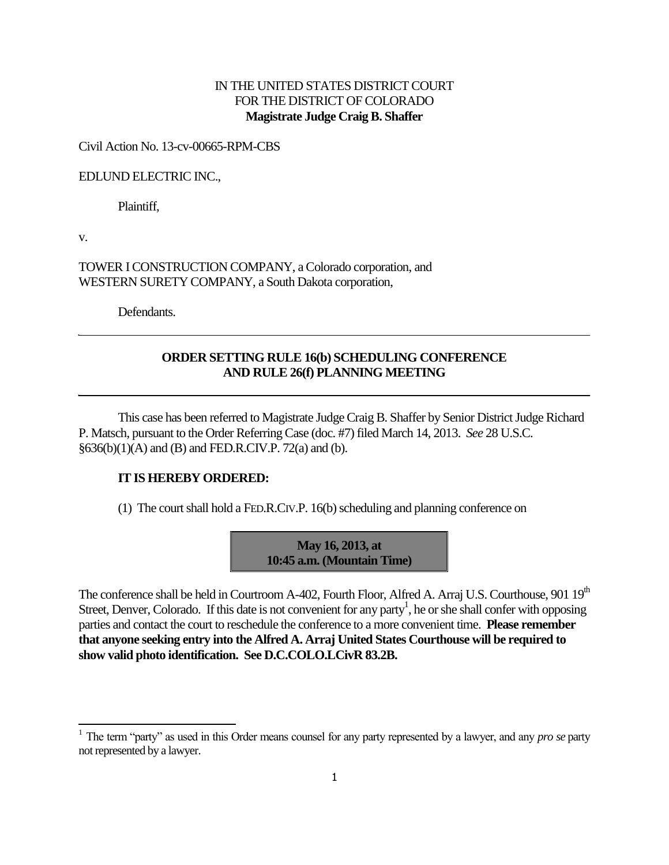# IN THE UNITED STATES DISTRICT COURT FOR THE DISTRICT OF COLORADO **Magistrate Judge Craig B. Shaffer**

#### Civil Action No. 13-cv-00665-RPM-CBS

#### EDLUND ELECTRIC INC.,

Plaintiff,

v.

-

TOWER I CONSTRUCTION COMPANY, a Colorado corporation, and WESTERN SURETY COMPANY, a South Dakota corporation,

Defendants.

## **ORDER SETTING RULE 16(b) SCHEDULING CONFERENCE AND RULE 26(f) PLANNING MEETING**

This case has been referred to Magistrate Judge Craig B. Shaffer by Senior District Judge Richard P. Matsch, pursuant to the Order Referring Case (doc. #7) filed March 14, 2013. *See* 28 U.S.C. §636(b)(1)(A) and (B) and FED.R.CIV.P. 72(a) and (b).

### **IT IS HEREBY ORDERED:**

(1) The court shall hold a FED.R.CIV.P. 16(b) scheduling and planning conference on



The conference shall be held in Courtroom A-402, Fourth Floor, Alfred A. Arraj U.S. Courthouse, 901 19<sup>th</sup> Street, Denver, Colorado. If this date is not convenient for any party<sup>1</sup>, he or she shall confer with opposing parties and contact the court to reschedule the conference to a more convenient time. **Please remember that anyone seeking entry into the Alfred A. Arraj United States Courthouse will be required to show valid photo identification. See D.C.COLO.LCivR 83.2B.**

<sup>&</sup>lt;sup>1</sup> The term "party" as used in this Order means counsel for any party represented by a lawyer, and any *pro se* party not represented by a lawyer.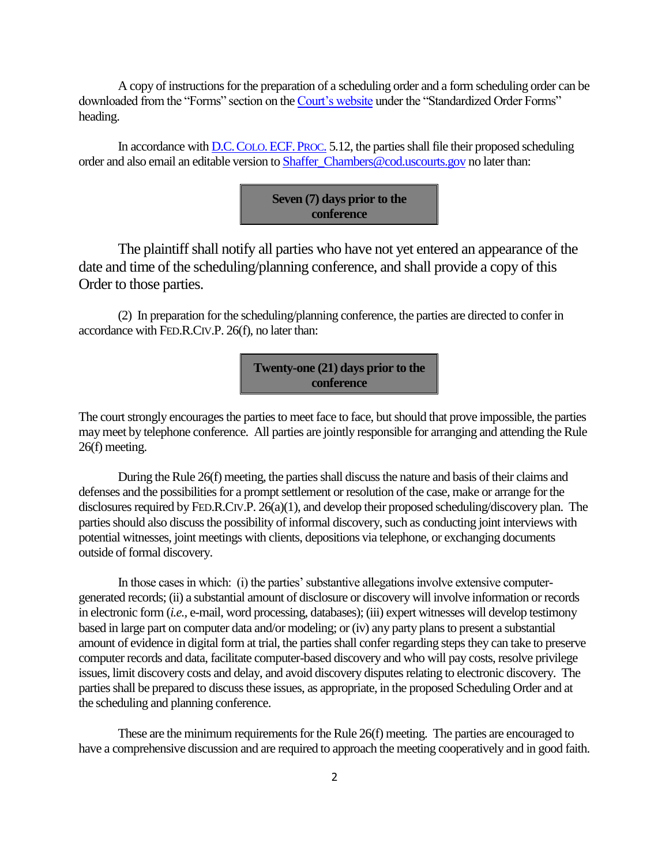A copy of instructions for the preparation of a scheduling order and a form scheduling order can be downloaded from the "Forms" section on th[e Court's website](http://www.cod.uscourts.gov/CourtOperations/RulesProcedures/Forms.aspx) under the "Standardized Order Forms" heading.

In accordance with D.C. COLO. ECF. PROC. 5.12, the parties shall file their proposed scheduling order and also email an editable version to [Shaffer\\_Chambers@cod.uscourts.gov](mailto:Shaffer_Chambers@cod.uscourts.gov) no later than:



The plaintiff shall notify all parties who have not yet entered an appearance of the date and time of the scheduling/planning conference, and shall provide a copy of this Order to those parties.

(2) In preparation for the scheduling/planning conference, the parties are directed to confer in accordance with FED.R.CIV.P. 26(f), no later than:

> **Twenty-one (21) days prior to the conference**

The court strongly encourages the parties to meet face to face, but should that prove impossible, the parties may meet by telephone conference. All parties are jointly responsible for arranging and attending the Rule 26(f) meeting.

During the Rule 26(f) meeting, the parties shall discuss the nature and basis of their claims and defenses and the possibilities for a prompt settlement or resolution of the case, make or arrange for the disclosures required by FED.R.CIV.P. 26(a)(1), and develop their proposed scheduling/discovery plan. The parties should also discuss the possibility of informal discovery, such as conducting joint interviews with potential witnesses, joint meetings with clients, depositions via telephone, or exchanging documents outside of formal discovery.

In those cases in which: (i) the parties' substantive allegations involve extensive computergenerated records; (ii) a substantial amount of disclosure or discovery will involve information or records in electronic form (*i.e.,* e-mail, word processing, databases); (iii) expert witnesses will develop testimony based in large part on computer data and/or modeling; or (iv) any party plans to present a substantial amount of evidence in digital form at trial, the parties shall confer regarding steps they can take to preserve computer records and data, facilitate computer-based discovery and who will pay costs, resolve privilege issues, limit discovery costs and delay, and avoid discovery disputes relating to electronic discovery. The parties shall be prepared to discuss these issues, as appropriate, in the proposed Scheduling Order and at the scheduling and planning conference.

These are the minimum requirements for the Rule 26(f) meeting. The parties are encouraged to have a comprehensive discussion and are required to approach the meeting cooperatively and in good faith.